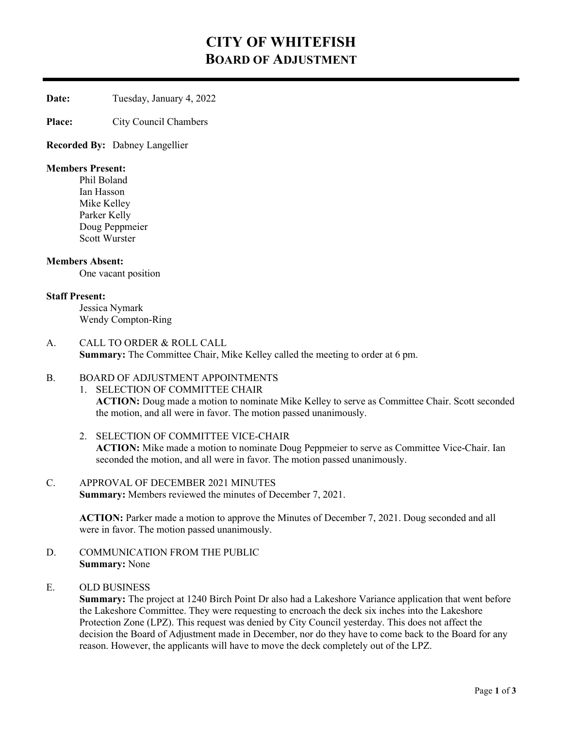# CITY OF WHITEFISH BOARD OF ADJUSTMENT

Date: Tuesday, January 4, 2022

Place: City Council Chambers

Recorded By: Dabney Langellier

#### Members Present:

 Phil Boland Ian Hasson Mike Kelley Parker Kelly Doug Peppmeier Scott Wurster

#### Members Absent:

One vacant position

#### Staff Present:

Jessica Nymark Wendy Compton-Ring

A. CALL TO ORDER & ROLL CALL Summary: The Committee Chair, Mike Kelley called the meeting to order at 6 pm.

#### B. BOARD OF ADJUSTMENT APPOINTMENTS

#### 1. SELECTION OF COMMITTEE CHAIR

ACTION: Doug made a motion to nominate Mike Kelley to serve as Committee Chair. Scott seconded the motion, and all were in favor. The motion passed unanimously.

2. SELECTION OF COMMITTEE VICE-CHAIR ACTION: Mike made a motion to nominate Doug Peppmeier to serve as Committee Vice-Chair. Ian seconded the motion, and all were in favor. The motion passed unanimously.

### C. APPROVAL OF DECEMBER 2021 MINUTES Summary: Members reviewed the minutes of December 7, 2021.

ACTION: Parker made a motion to approve the Minutes of December 7, 2021. Doug seconded and all were in favor. The motion passed unanimously.

- D. COMMUNICATION FROM THE PUBLIC Summary: None
- E. OLD BUSINESS

Summary: The project at 1240 Birch Point Dr also had a Lakeshore Variance application that went before the Lakeshore Committee. They were requesting to encroach the deck six inches into the Lakeshore Protection Zone (LPZ). This request was denied by City Council yesterday. This does not affect the decision the Board of Adjustment made in December, nor do they have to come back to the Board for any reason. However, the applicants will have to move the deck completely out of the LPZ.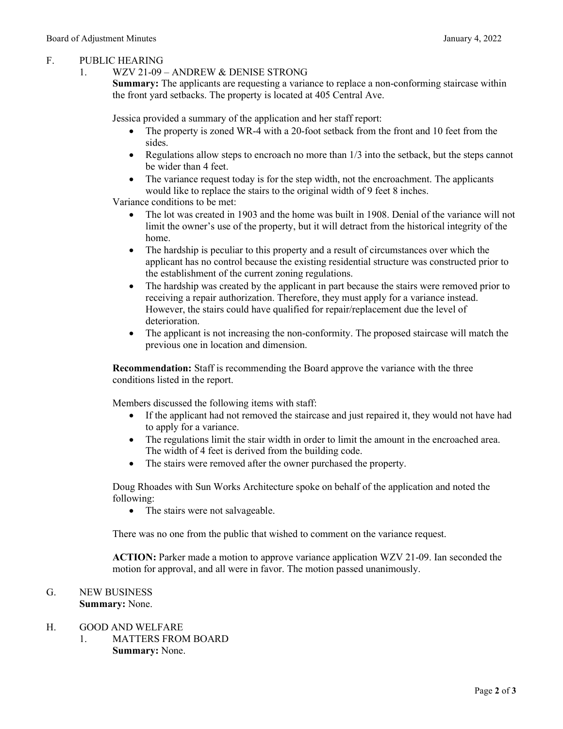### F. PUBLIC HEARING

### 1. WZV 21-09 – ANDREW & DENISE STRONG

Summary: The applicants are requesting a variance to replace a non-conforming staircase within the front yard setbacks. The property is located at 405 Central Ave.

Jessica provided a summary of the application and her staff report:

- The property is zoned WR-4 with a 20-foot setback from the front and 10 feet from the sides.
- Regulations allow steps to encroach no more than  $1/3$  into the setback, but the steps cannot be wider than 4 feet.
- The variance request today is for the step width, not the encroachment. The applicants would like to replace the stairs to the original width of 9 feet 8 inches.

Variance conditions to be met:

- The lot was created in 1903 and the home was built in 1908. Denial of the variance will not limit the owner's use of the property, but it will detract from the historical integrity of the home.
- The hardship is peculiar to this property and a result of circumstances over which the applicant has no control because the existing residential structure was constructed prior to the establishment of the current zoning regulations.
- The hardship was created by the applicant in part because the stairs were removed prior to receiving a repair authorization. Therefore, they must apply for a variance instead. However, the stairs could have qualified for repair/replacement due the level of deterioration.
- The applicant is not increasing the non-conformity. The proposed staircase will match the previous one in location and dimension.

Recommendation: Staff is recommending the Board approve the variance with the three conditions listed in the report.

Members discussed the following items with staff:

- If the applicant had not removed the staircase and just repaired it, they would not have had to apply for a variance.
- The regulations limit the stair width in order to limit the amount in the encroached area. The width of 4 feet is derived from the building code.
- The stairs were removed after the owner purchased the property.

Doug Rhoades with Sun Works Architecture spoke on behalf of the application and noted the following:

• The stairs were not salvageable.

There was no one from the public that wished to comment on the variance request.

ACTION: Parker made a motion to approve variance application WZV 21-09. Ian seconded the motion for approval, and all were in favor. The motion passed unanimously.

# G. NEW BUSINESS

# Summary: None.

- H. GOOD AND WELFARE
	- 1. MATTERS FROM BOARD Summary: None.